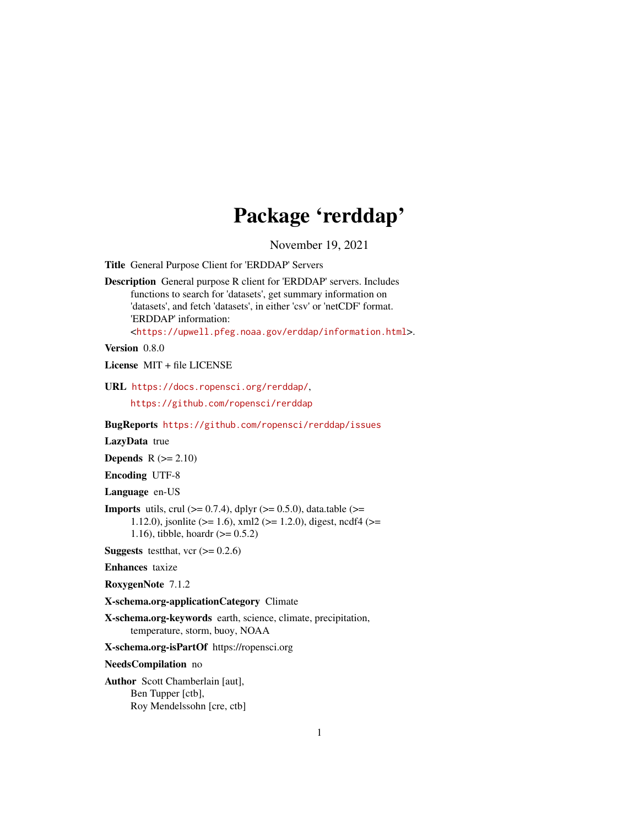# Package 'rerddap'

November 19, 2021

<span id="page-0-0"></span>Title General Purpose Client for 'ERDDAP' Servers

Description General purpose R client for 'ERDDAP' servers. Includes functions to search for 'datasets', get summary information on 'datasets', and fetch 'datasets', in either 'csv' or 'netCDF' format. 'ERDDAP' information: <<https://upwell.pfeg.noaa.gov/erddap/information.html>>.

Version 0.8.0

License MIT + file LICENSE

URL <https://docs.ropensci.org/rerddap/>,

<https://github.com/ropensci/rerddap>

BugReports <https://github.com/ropensci/rerddap/issues>

LazyData true

**Depends**  $R$  ( $>= 2.10$ )

Encoding UTF-8

Language en-US

**Imports** utils, crul  $(>= 0.7.4)$ , dplyr  $(>= 0.5.0)$ , data.table  $(>= 0.5.0)$ 1.12.0), jsonlite ( $> = 1.6$ ), xml2 ( $> = 1.2.0$ ), digest, ncdf4 ( $> =$ 1.16), tibble, hoardr  $(>= 0.5.2)$ 

**Suggests** test that, vcr  $(>= 0.2.6)$ 

Enhances taxize

RoxygenNote 7.1.2

X-schema.org-applicationCategory Climate

X-schema.org-keywords earth, science, climate, precipitation, temperature, storm, buoy, NOAA

X-schema.org-isPartOf https://ropensci.org

NeedsCompilation no

Author Scott Chamberlain [aut], Ben Tupper [ctb], Roy Mendelssohn [cre, ctb]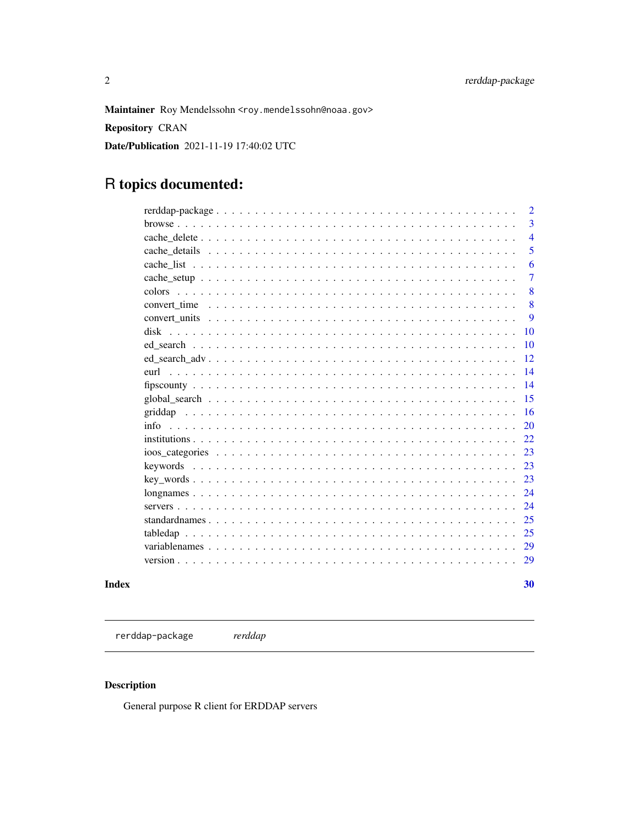<span id="page-1-0"></span>Maintainer Roy Mendelssohn <roy.mendelssohn@noaa.gov>

**Repository CRAN** 

Date/Publication 2021-11-19 17:40:02 UTC

# R topics documented:

|              | $\overline{2}$ |
|--------------|----------------|
|              | 3              |
|              | $\overline{4}$ |
|              | 5              |
|              | 6              |
|              | 7              |
|              | 8              |
| convert time | 8              |
|              | 9              |
| disk         | 10             |
|              | 10             |
|              | 12             |
| eurl         | 14             |
|              | 14             |
|              | 15             |
|              | 16             |
| info         | 20             |
|              | 22             |
|              | 23             |
|              | 23             |
|              | 23             |
|              | 24             |
|              | 24             |
|              | 25             |
|              | 25             |
|              | 29             |
|              | 29             |
|              | 30             |
|              |                |

# **Index**

rerddap-package  $\emph{rerddap}$ 

# Description

General purpose R client for ERDDAP servers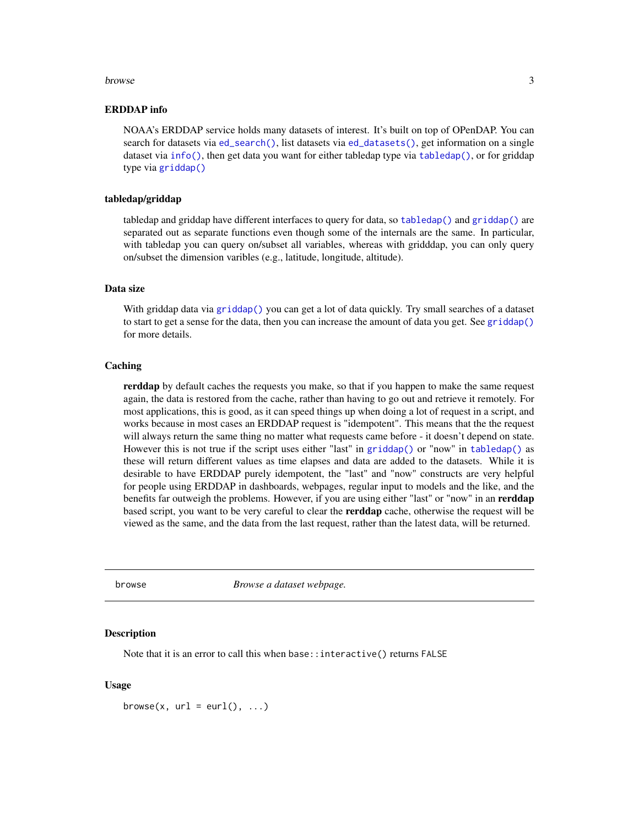#### <span id="page-2-0"></span>browse 3

#### ERDDAP info

NOAA's ERDDAP service holds many datasets of interest. It's built on top of OPenDAP. You can search for datasets via  $ed$ <sub>search</sub>(), list datasets via  $ed$ <sub>d</sub>atasets(), get information on a single dataset via [info\(\)](#page-19-1), then get data you want for either tabledap type via [tabledap\(\)](#page-24-1), or for griddap type via [griddap\(\)](#page-15-1)

#### tabledap/griddap

tabledap and griddap have different interfaces to query for data, so [tabledap\(\)](#page-24-1) and [griddap\(\)](#page-15-1) are separated out as separate functions even though some of the internals are the same. In particular, with tabledap you can query on/subset all variables, whereas with gridddap, you can only query on/subset the dimension varibles (e.g., latitude, longitude, altitude).

#### Data size

With griddap data via [griddap\(\)](#page-15-1) you can get a lot of data quickly. Try small searches of a dataset to start to get a sense for the data, then you can increase the amount of data you get. See [griddap\(\)](#page-15-1) for more details.

#### **Caching**

rerddap by default caches the requests you make, so that if you happen to make the same request again, the data is restored from the cache, rather than having to go out and retrieve it remotely. For most applications, this is good, as it can speed things up when doing a lot of request in a script, and works because in most cases an ERDDAP request is "idempotent". This means that the the request will always return the same thing no matter what requests came before - it doesn't depend on state. However this is not true if the script uses either "last" in [griddap\(\)](#page-15-1) or "now" in [tabledap\(\)](#page-24-1) as these will return different values as time elapses and data are added to the datasets. While it is desirable to have ERDDAP purely idempotent, the "last" and "now" constructs are very helpful for people using ERDDAP in dashboards, webpages, regular input to models and the like, and the benefits far outweigh the problems. However, if you are using either "last" or "now" in an **rerddap** based script, you want to be very careful to clear the **rerddap** cache, otherwise the request will be viewed as the same, and the data from the last request, rather than the latest data, will be returned.

browse *Browse a dataset webpage.*

#### **Description**

Note that it is an error to call this when base::interactive() returns FALSE

#### Usage

browse(x,  $url = curl()$ , ...)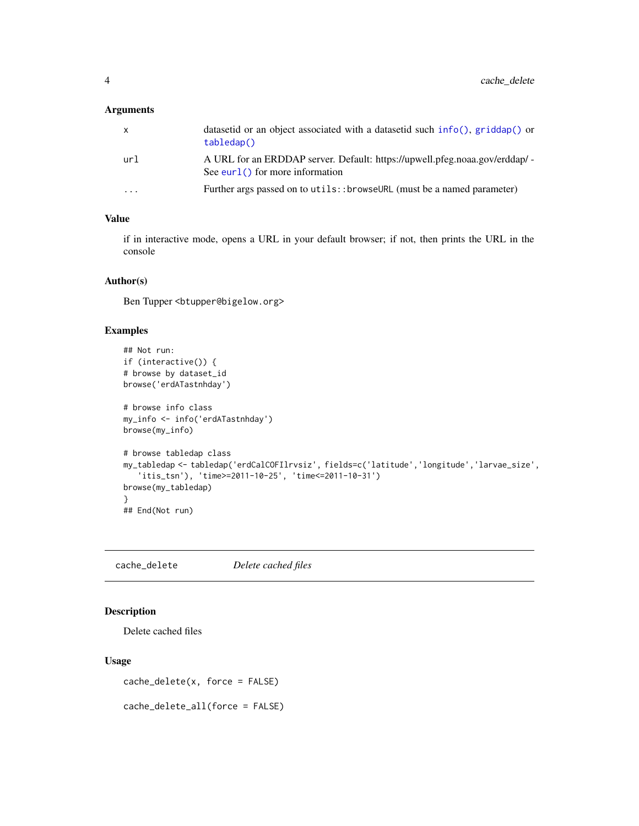#### <span id="page-3-0"></span>Arguments

| $\mathsf{X}$ | datasetid or an object associated with a datasetid such info(), $gridap()$ or<br>tabledap()                       |
|--------------|-------------------------------------------------------------------------------------------------------------------|
| url          | A URL for an ERDDAP server. Default: https://upwell.pfeg.noaa.gov/erddap/ -<br>See eurl $()$ for more information |
| $\cdot$      | Further args passed on to utils::browseURL (must be a named parameter)                                            |

# Value

if in interactive mode, opens a URL in your default browser; if not, then prints the URL in the console

# Author(s)

Ben Tupper <btupper@bigelow.org>

#### Examples

```
## Not run:
if (interactive()) {
# browse by dataset_id
browse('erdATastnhday')
# browse info class
my_info <- info('erdATastnhday')
browse(my_info)
# browse tabledap class
my_tabledap <- tabledap('erdCalCOFIlrvsiz', fields=c('latitude','longitude','larvae_size',
   'itis_tsn'), 'time>=2011-10-25', 'time<=2011-10-31')
browse(my_tabledap)
}
## End(Not run)
```
<span id="page-3-1"></span>cache\_delete *Delete cached files*

# Description

Delete cached files

#### Usage

cache\_delete(x, force = FALSE)

cache\_delete\_all(force = FALSE)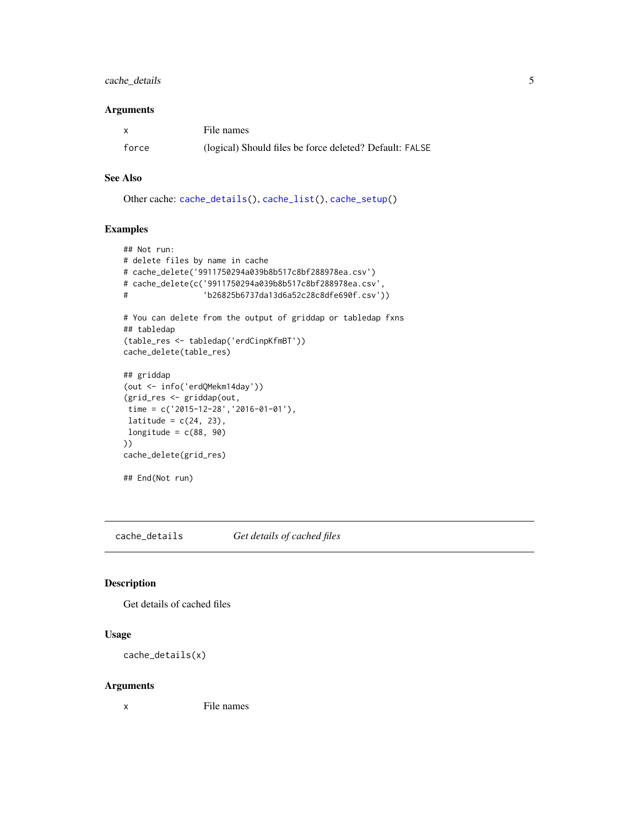# <span id="page-4-0"></span>cache\_details 5

#### Arguments

| $\mathsf{x}$ | File names                                              |
|--------------|---------------------------------------------------------|
| force        | (logical) Should files be force deleted? Default: FALSE |

# See Also

Other cache: [cache\\_details\(](#page-4-1)), [cache\\_list\(](#page-5-1)), [cache\\_setup\(](#page-6-1))

#### Examples

```
## Not run:
# delete files by name in cache
# cache_delete('9911750294a039b8b517c8bf288978ea.csv')
# cache_delete(c('9911750294a039b8b517c8bf288978ea.csv',
# 'b26825b6737da13d6a52c28c8dfe690f.csv'))
# You can delete from the output of griddap or tabledap fxns
## tabledap
(table_res <- tabledap('erdCinpKfmBT'))
cache_delete(table_res)
## griddap
(out <- info('erdQMekm14day'))
(grid_res <- griddap(out,
time = c('2015-12-28','2016-01-01'),
latitude = c(24, 23),
longitude = c(88, 90)))
cache_delete(grid_res)
## End(Not run)
```
<span id="page-4-1"></span>cache\_details *Get details of cached files*

#### Description

Get details of cached files

#### Usage

```
cache_details(x)
```
#### Arguments

x File names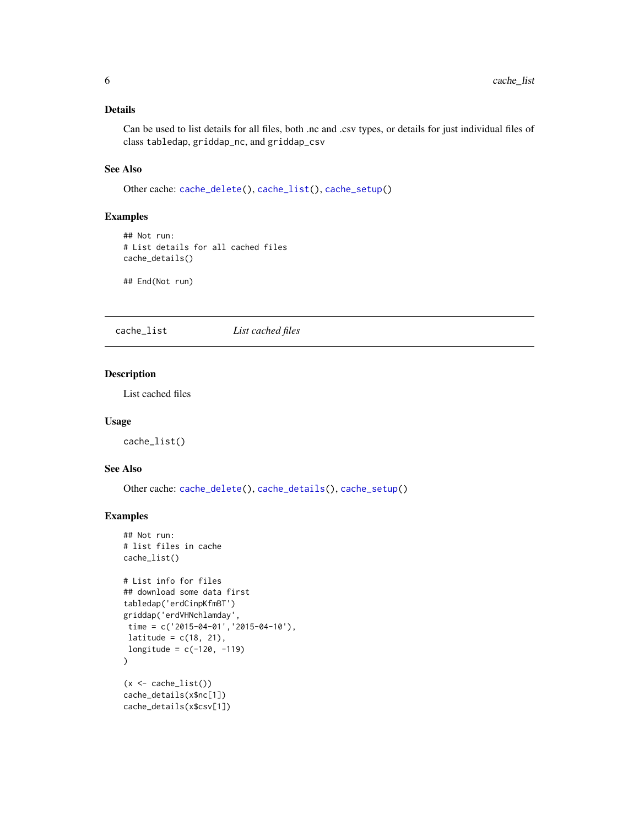#### <span id="page-5-0"></span>Details

Can be used to list details for all files, both .nc and .csv types, or details for just individual files of class tabledap, griddap\_nc, and griddap\_csv

# See Also

Other cache: [cache\\_delete\(](#page-3-1)), [cache\\_list\(](#page-5-1)), [cache\\_setup\(](#page-6-1))

#### Examples

```
## Not run:
# List details for all cached files
cache_details()
```
## End(Not run)

<span id="page-5-1"></span>cache\_list *List cached files*

#### Description

List cached files

#### Usage

cache\_list()

# See Also

Other cache: [cache\\_delete\(](#page-3-1)), [cache\\_details\(](#page-4-1)), [cache\\_setup\(](#page-6-1))

#### Examples

```
## Not run:
# list files in cache
cache_list()
# List info for files
## download some data first
tabledap('erdCinpKfmBT')
griddap('erdVHNchlamday',
 time = c('2015-04-01', '2015-04-10'),latitude = c(18, 21),
longitude = c(-120, -119))
(x \leftarrow cache\_list())cache_details(x$nc[1])
cache_details(x$csv[1])
```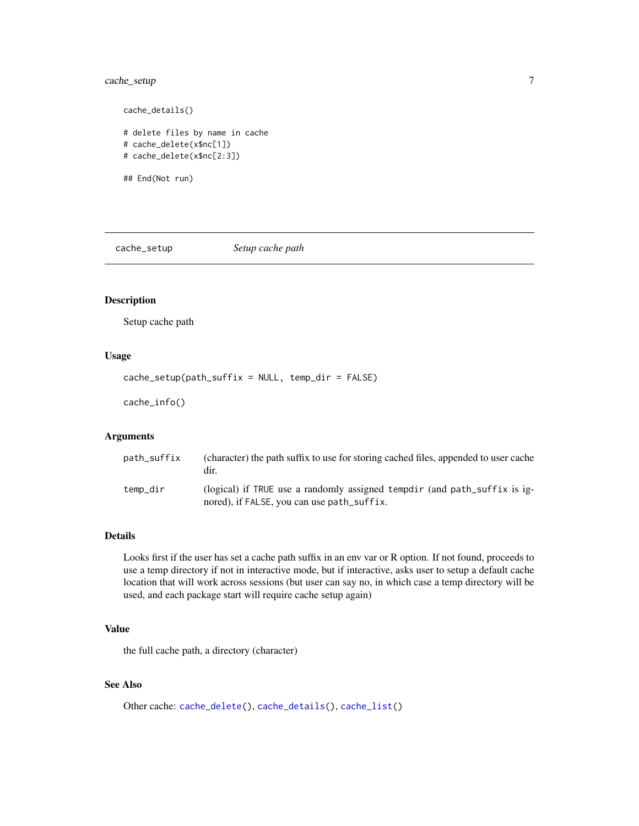# <span id="page-6-0"></span>cache\_setup 7

```
# delete files by name in cache
# cache_delete(x$nc[1])
# cache_delete(x$nc[2:3])
```
## End(Not run)

cache\_details()

<span id="page-6-1"></span>cache\_setup *Setup cache path*

# Description

Setup cache path

# Usage

cache\_setup(path\_suffix = NULL, temp\_dir = FALSE)

cache\_info()

# Arguments

| path_suffix | (character) the path suffix to use for storing cached files, appended to user cache<br>dir.                             |
|-------------|-------------------------------------------------------------------------------------------------------------------------|
| temp_dir    | (logical) if TRUE use a randomly assigned tempdir (and path_suffix is ig-<br>nored), if FALSE, you can use path_suffix. |

# Details

Looks first if the user has set a cache path suffix in an env var or R option. If not found, proceeds to use a temp directory if not in interactive mode, but if interactive, asks user to setup a default cache location that will work across sessions (but user can say no, in which case a temp directory will be used, and each package start will require cache setup again)

#### Value

the full cache path, a directory (character)

# See Also

Other cache: [cache\\_delete\(](#page-3-1)), [cache\\_details\(](#page-4-1)), [cache\\_list\(](#page-5-1))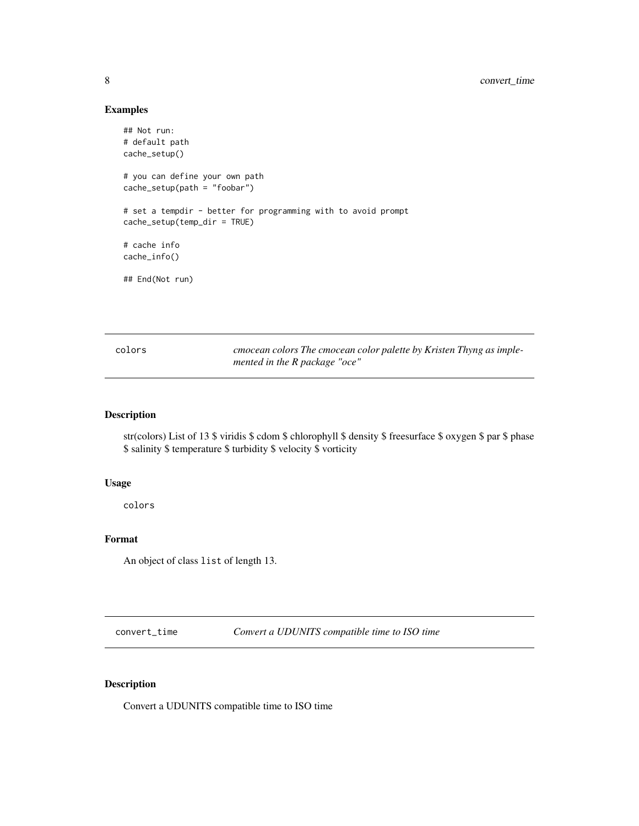#### Examples

```
## Not run:
# default path
cache_setup()
# you can define your own path
cache_setup(path = "foobar")
# set a tempdir - better for programming with to avoid prompt
cache_setup(temp_dir = TRUE)
# cache info
cache_info()
## End(Not run)
```

| colors | cmocean colors The cmocean color palette by Kristen Thyng as imple- |
|--------|---------------------------------------------------------------------|
|        | mented in the R package "oce"                                       |

# Description

str(colors) List of 13 \$ viridis \$ cdom \$ chlorophyll \$ density \$ freesurface \$ oxygen \$ par \$ phase \$ salinity \$ temperature \$ turbidity \$ velocity \$ vorticity

#### Usage

colors

#### Format

An object of class list of length 13.

convert\_time *Convert a UDUNITS compatible time to ISO time*

# Description

Convert a UDUNITS compatible time to ISO time

<span id="page-7-0"></span>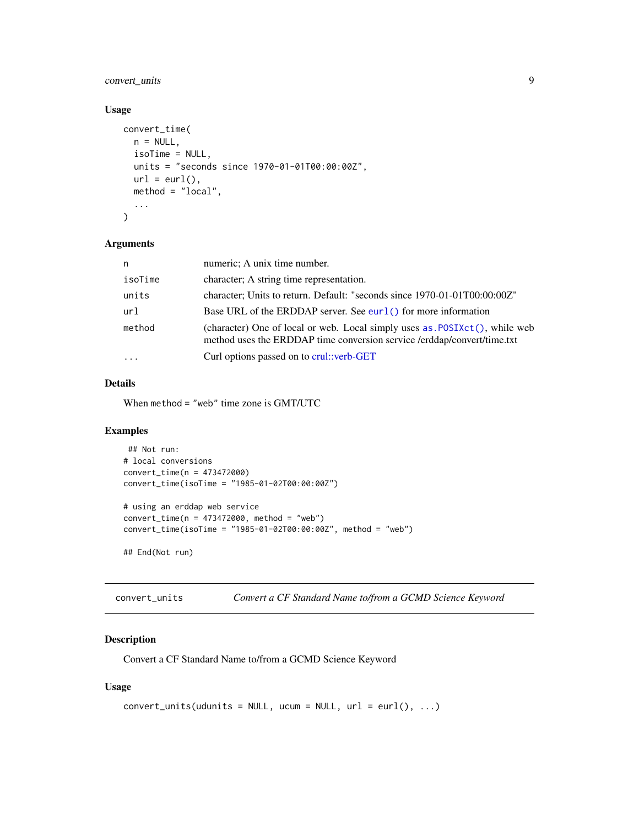# <span id="page-8-0"></span>convert\_units 9

# Usage

```
convert_time(
 n = NULL,isoTime = NULL,
 units = "seconds since 1970-01-01T00:00:00Z",
 url = curl(),method = "local",
  ...
\mathcal{L}
```
#### Arguments

| n       | numeric; A unix time number.                                                                                                                          |
|---------|-------------------------------------------------------------------------------------------------------------------------------------------------------|
| isoTime | character; A string time representation.                                                                                                              |
| units   | character; Units to return. Default: "seconds since 1970-01-01T00:00:00Z"                                                                             |
| url     | Base URL of the ERDDAP server. See eurl() for more information                                                                                        |
| method  | (character) One of local or web. Local simply uses as POSIXct(), while web<br>method uses the ERDDAP time conversion service /erddap/convert/time.txt |
| .       | Curl options passed on to crul: verb-GET                                                                                                              |
|         |                                                                                                                                                       |

# Details

When method = "web" time zone is GMT/UTC

# Examples

```
## Not run:
# local conversions
convert_time(n = 473472000)
convert_time(isoTime = "1985-01-02T00:00:00Z")
# using an erddap web service
convert_time(n = 473472000, method = "web")convert_time(isoTime = "1985-01-02T00:00:00Z", method = "web")
## End(Not run)
```
convert\_units *Convert a CF Standard Name to/from a GCMD Science Keyword*

# Description

Convert a CF Standard Name to/from a GCMD Science Keyword

#### Usage

```
convert\_units(udunits = NULL, ucum = NULL, url = curl(), ...)
```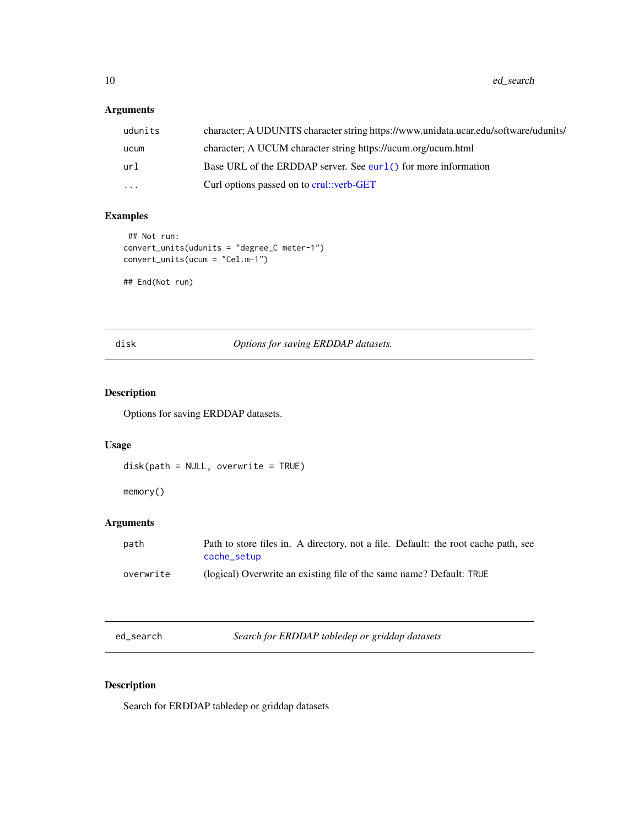<span id="page-9-0"></span>10 ed\_search

# Arguments

| udunits   | character; A UDUNITS character string https://www.unidata.ucar.edu/software/udunits/ |
|-----------|--------------------------------------------------------------------------------------|
| ucum      | character; A UCUM character string https://ucum.org/ucum.html                        |
| url       | Base URL of the ERDDAP server. See eurl() for more information                       |
| $\ddotsc$ | Curl options passed on to crul: verb-GET                                             |

# Examples

```
## Not run:
convert_units(udunits = "degree_C meter-1")
convert_units(ucum = "Cel.m-1")
```
## End(Not run)

<span id="page-9-3"></span>disk *Options for saving ERDDAP datasets.*

# <span id="page-9-4"></span>Description

Options for saving ERDDAP datasets.

#### Usage

```
disk(path = NULL, overwrite = TRUE)
```
memory()

# Arguments

| path      | Path to store files in. A directory, not a file. Default: the root cache path, see<br>cache_setup |
|-----------|---------------------------------------------------------------------------------------------------|
| overwrite | (logical) Overwrite an existing file of the same name? Default: TRUE                              |

<span id="page-9-1"></span>ed\_search *Search for ERDDAP tabledep or griddap datasets*

# <span id="page-9-2"></span>Description

Search for ERDDAP tabledep or griddap datasets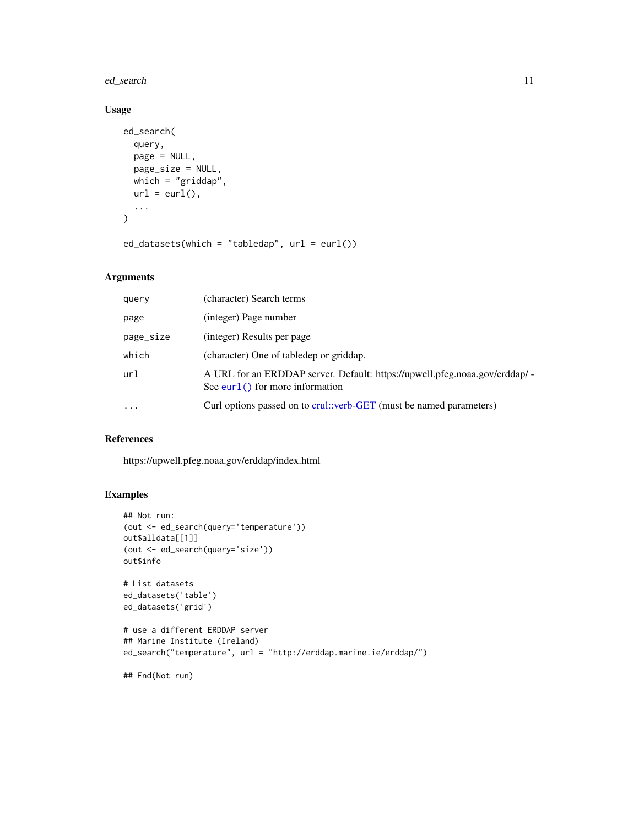<span id="page-10-0"></span>ed\_search 11

# Usage

```
ed_search(
 query,
 page = NULL,
 page_size = NULL,
 which = "griddap",
 url = curl(),...
\mathcal{L}ed_datasets(which = "tabledap", url = eurl())
```
# Arguments

| query     | (character) Search terms                                                                                          |
|-----------|-------------------------------------------------------------------------------------------------------------------|
| page      | (integer) Page number                                                                                             |
| page_size | (integer) Results per page                                                                                        |
| which     | (character) One of tabledep or griddap.                                                                           |
| url       | A URL for an ERDDAP server. Default: https://upwell.pfeg.noaa.gov/erddap/ -<br>See eurl $()$ for more information |
| $\ddotsc$ | Curl options passed on to crul::verb-GET (must be named parameters)                                               |

# References

https://upwell.pfeg.noaa.gov/erddap/index.html

# Examples

```
## Not run:
(out <- ed_search(query='temperature'))
out$alldata[[1]]
(out <- ed_search(query='size'))
out$info
# List datasets
ed_datasets('table')
ed_datasets('grid')
# use a different ERDDAP server
## Marine Institute (Ireland)
ed_search("temperature", url = "http://erddap.marine.ie/erddap/")
## End(Not run)
```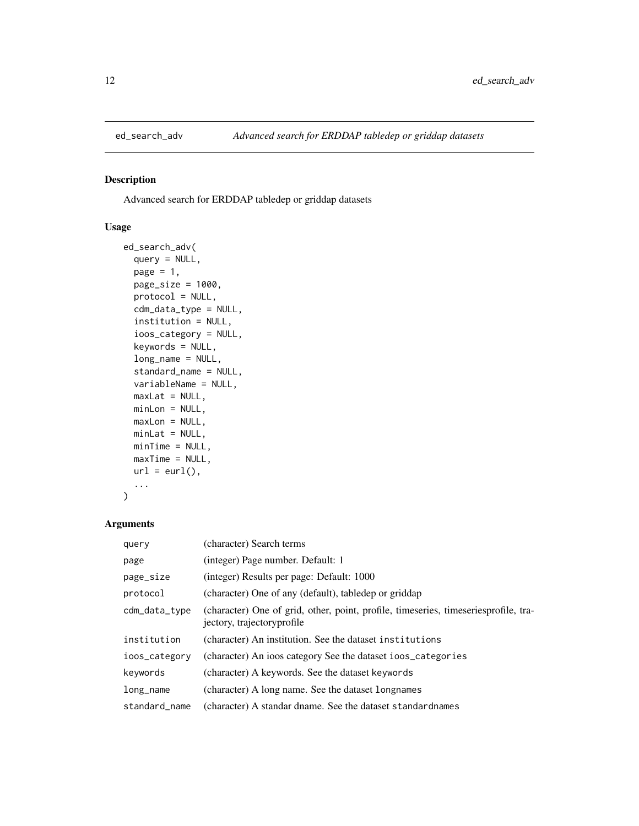<span id="page-11-0"></span>

# Description

Advanced search for ERDDAP tabledep or griddap datasets

# Usage

```
ed_search_adv(
  query = NULL,
 page = 1,
 page_size = 1000,
 protocol = NULL,
  cdm_data_type = NULL,
  institution = NULL,
  ioos_category = NULL,
 keywords = NULL,
  long_name = NULL,
  standard_name = NULL,
  variableName = NULL,
 maxLat = NULL,minLon = NULL,
 maxLon = NULL,minLat = NULL,minTime = NULL,
 maxTime = NULL,
 url = curl(),...
)
```
#### Arguments

| query         | (character) Search terms                                                                                           |
|---------------|--------------------------------------------------------------------------------------------------------------------|
| page          | (integer) Page number. Default: 1                                                                                  |
| page_size     | (integer) Results per page: Default: 1000                                                                          |
| protocol      | (character) One of any (default), tabledep or griddap                                                              |
| cdm_data_type | (character) One of grid, other, point, profile, timeseries, timeseriesprofile, tra-<br>jectory, trajectory profile |
| institution   | (character) An institution. See the dataset institutions                                                           |
| ioos_category | (character) An ioos category See the dataset ioos_categories                                                       |
| keywords      | (character) A keywords. See the dataset keywords                                                                   |
| $long_name$   | (character) A long name. See the dataset longnames                                                                 |
| standard name | (character) A standar dname. See the dataset standardnames                                                         |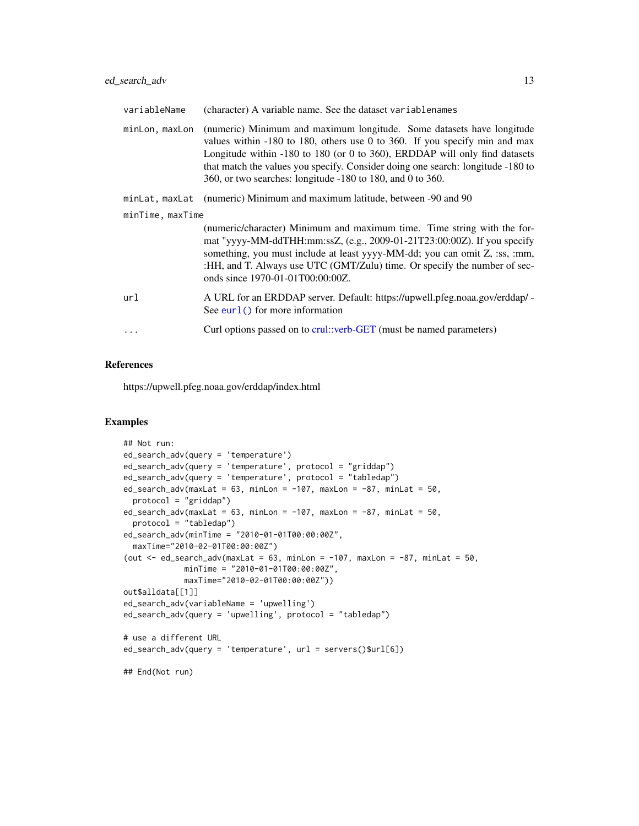<span id="page-12-0"></span>

| variableName     | (character) A variable name. See the dataset variablenames                                                                                                                                                                                                                                                                                                                           |
|------------------|--------------------------------------------------------------------------------------------------------------------------------------------------------------------------------------------------------------------------------------------------------------------------------------------------------------------------------------------------------------------------------------|
| minLon, maxLon   | (numeric) Minimum and maximum longitude. Some datasets have longitude<br>values within $-180$ to 180, others use 0 to 360. If you specify min and max<br>Longitude within -180 to 180 (or 0 to 360), ERDDAP will only find datasets<br>that match the values you specify. Consider doing one search: longitude -180 to<br>360, or two searches: longitude -180 to 180, and 0 to 360. |
| minLat, maxLat   | (numeric) Minimum and maximum latitude, between -90 and 90                                                                                                                                                                                                                                                                                                                           |
| minTime, maxTime |                                                                                                                                                                                                                                                                                                                                                                                      |
|                  | (numeric/character) Minimum and maximum time. Time string with the for-<br>mat "yyyy-MM-ddTHH:mm:ssZ, (e.g., 2009-01-21T23:00:00Z). If you specify<br>something, you must include at least yyyy-MM-dd; you can omit Z, :ss, :mm,<br>:HH, and T. Always use UTC (GMT/Zulu) time. Or specify the number of sec-<br>onds since 1970-01-01T00:00:00Z.                                    |
| url              | A URL for an ERDDAP server. Default: https://upwell.pfeg.noaa.gov/erddap/ -<br>See eurl $()$ for more information                                                                                                                                                                                                                                                                    |
| $\ddotsc$        | Curl options passed on to crul::verb-GET (must be named parameters)                                                                                                                                                                                                                                                                                                                  |

#### References

https://upwell.pfeg.noaa.gov/erddap/index.html

#### Examples

```
## Not run:
ed_search_adv(query = 'temperature')
ed_search_adv(query = 'temperature', protocol = "griddap")
ed_search_adv(query = 'temperature', protocol = "tabledap")
ed\_search\_adv(maxLat = 63, minLon = -107, maxLon = -87, minLat = 50,protocol = "griddap")
ed_search_adv(maxLat = 63, minLon = -107, maxLon = -87, minLat = 50,
  protocol = "tabledap")
ed_search_adv(minTime = "2010-01-01T00:00:00Z",
 maxTime="2010-02-01T00:00:00Z")
(out \leq ed_search_adv(maxLat = 63, minLon = -107, maxLon = -87, minLat = 50,
             minTime = "2010-01-01T00:00:00Z",
             maxTime="2010-02-01T00:00:00Z"))
out$alldata[[1]]
ed_search_adv(variableName = 'upwelling')
ed_search_adv(query = 'upwelling', protocol = "tabledap")
# use a different URL
ed_search_adv(query = 'temperature', url = servers()$url[6])
## End(Not run)
```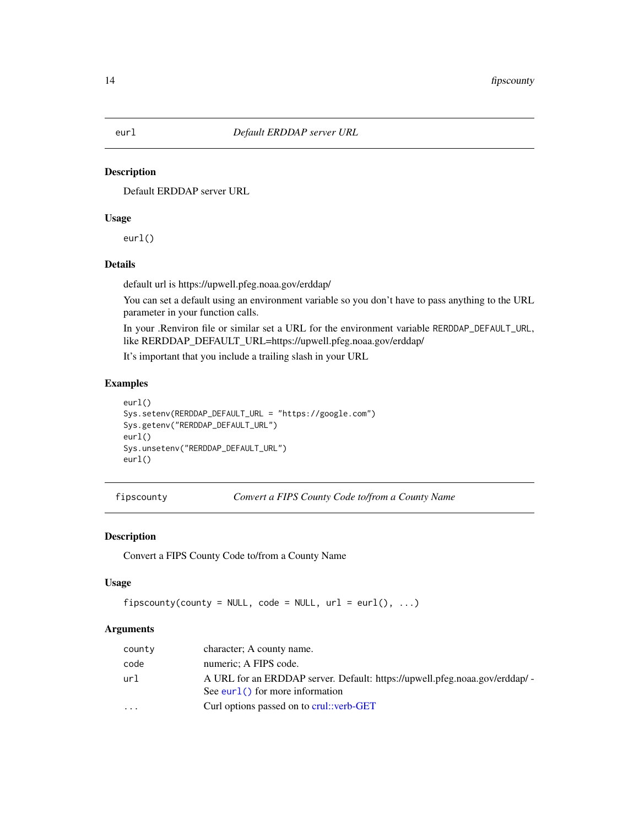#### <span id="page-13-1"></span><span id="page-13-0"></span>Description

Default ERDDAP server URL

# Usage

eurl()

# Details

default url is https://upwell.pfeg.noaa.gov/erddap/

You can set a default using an environment variable so you don't have to pass anything to the URL parameter in your function calls.

In your .Renviron file or similar set a URL for the environment variable RERDDAP\_DEFAULT\_URL, like RERDDAP\_DEFAULT\_URL=https://upwell.pfeg.noaa.gov/erddap/

It's important that you include a trailing slash in your URL

# Examples

```
eurl()
Sys.setenv(RERDDAP_DEFAULT_URL = "https://google.com")
Sys.getenv("RERDDAP_DEFAULT_URL")
eurl()
Sys.unsetenv("RERDDAP_DEFAULT_URL")
eurl()
```
fipscounty *Convert a FIPS County Code to/from a County Name*

#### Description

Convert a FIPS County Code to/from a County Name

#### Usage

```
fipscounty(county = NULL, code = NULL, url = curl(), ...)
```
#### Arguments

| county | character; A county name.                                                                                         |
|--------|-------------------------------------------------------------------------------------------------------------------|
| code   | numeric; A FIPS code.                                                                                             |
| url    | A URL for an ERDDAP server. Default: https://upwell.pfeg.noaa.gov/erddap/ -<br>See eurl $()$ for more information |
| .      | Curl options passed on to crul: verb-GET                                                                          |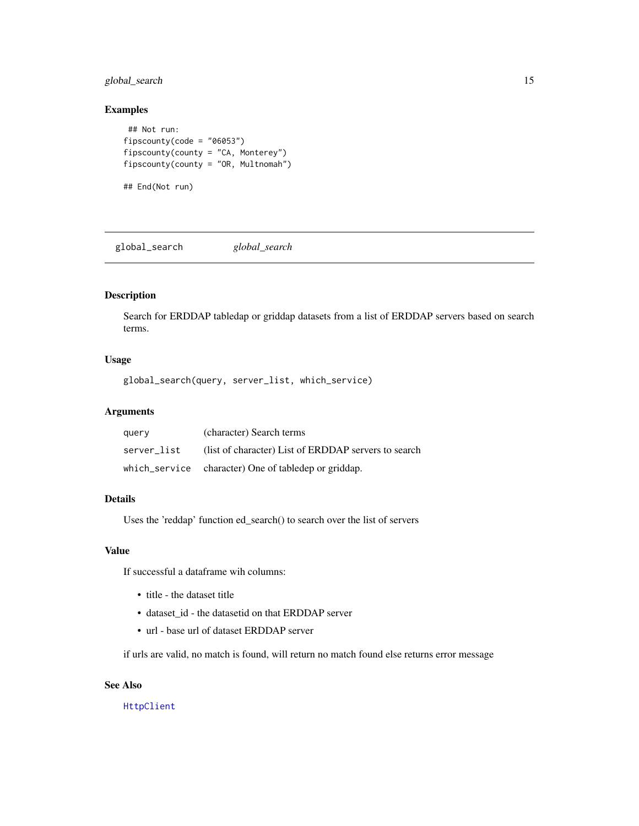# <span id="page-14-0"></span>global\_search 15

#### Examples

```
## Not run:
fipscounty(code = "06053")
fipscounty(county = "CA, Monterey")
fipscounty(county = "OR, Multnomah")
## End(Not run)
```
global\_search *global\_search*

# Description

Search for ERDDAP tabledap or griddap datasets from a list of ERDDAP servers based on search terms.

#### Usage

global\_search(query, server\_list, which\_service)

# Arguments

| query       | (character) Search terms                             |
|-------------|------------------------------------------------------|
| server list | (list of character) List of ERDDAP servers to search |
|             | which_service character) One of tabledep or griddap. |

#### Details

Uses the 'reddap' function ed\_search() to search over the list of servers

#### Value

If successful a dataframe wih columns:

- title the dataset title
- dataset\_id the datasetid on that ERDDAP server
- url base url of dataset ERDDAP server

if urls are valid, no match is found, will return no match found else returns error message

#### See Also

[HttpClient](#page-0-0)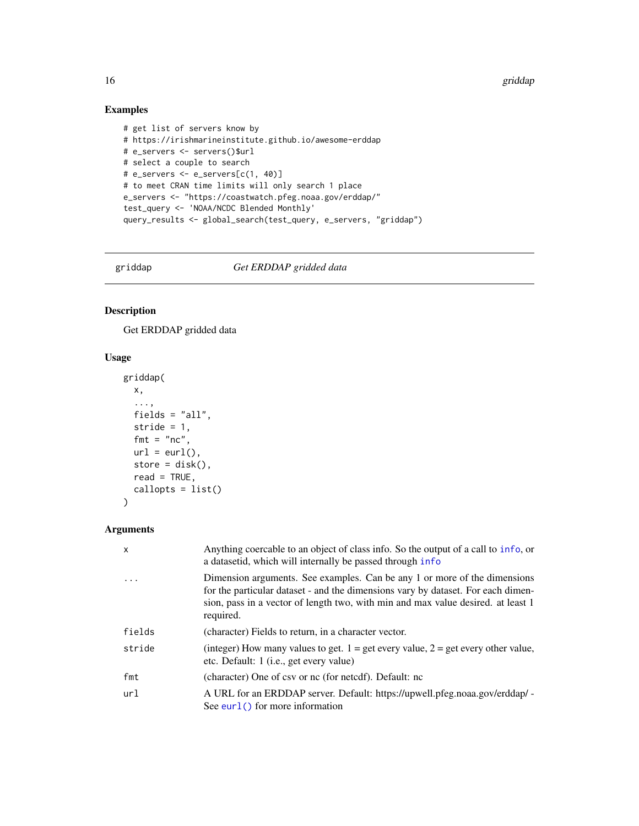16 griddap griddap yn y 1990. Yn 1992 a griddap yn y griddap griddap yn y griddap griddap yn y griddap yn y gri

# Examples

```
# get list of servers know by
# https://irishmarineinstitute.github.io/awesome-erddap
# e_servers <- servers()$url
# select a couple to search
# e_servers <- e_servers[c(1, 40)]
# to meet CRAN time limits will only search 1 place
e_servers <- "https://coastwatch.pfeg.noaa.gov/erddap/"
test_query <- 'NOAA/NCDC Blended Monthly'
query_results <- global_search(test_query, e_servers, "griddap")
```
<span id="page-15-1"></span>griddap *Get ERDDAP gridded data*

# Description

Get ERDDAP gridded data

#### Usage

```
griddap(
 x,
  ...,
 fields = "all",
 stride = 1,
 fmt = "nc",url = curl(),store = disk(),
 read = TRUE,
 callopts = list())
```
# Arguments

| $\mathsf{x}$ | Anything coercable to an object of class info. So the output of a call to info, or<br>a datasetid, which will internally be passed through info                                                                                                                |
|--------------|----------------------------------------------------------------------------------------------------------------------------------------------------------------------------------------------------------------------------------------------------------------|
| $\cdot$      | Dimension arguments. See examples. Can be any 1 or more of the dimensions<br>for the particular dataset - and the dimensions vary by dataset. For each dimen-<br>sion, pass in a vector of length two, with min and max value desired. at least 1<br>required. |
| fields       | (character) Fields to return, in a character vector.                                                                                                                                                                                                           |
| stride       | (integer) How many values to get. $1 =$ get every value, $2 =$ get every other value,<br>etc. Default: 1 ( <i>i.e.</i> , get every value)                                                                                                                      |
| fmt          | (character) One of csy or nc (for netcdf). Default: nc                                                                                                                                                                                                         |
| url          | A URL for an ERDDAP server. Default: https://upwell.pfeg.noaa.gov/erddap/ -<br>See eurl $()$ for more information                                                                                                                                              |

<span id="page-15-0"></span>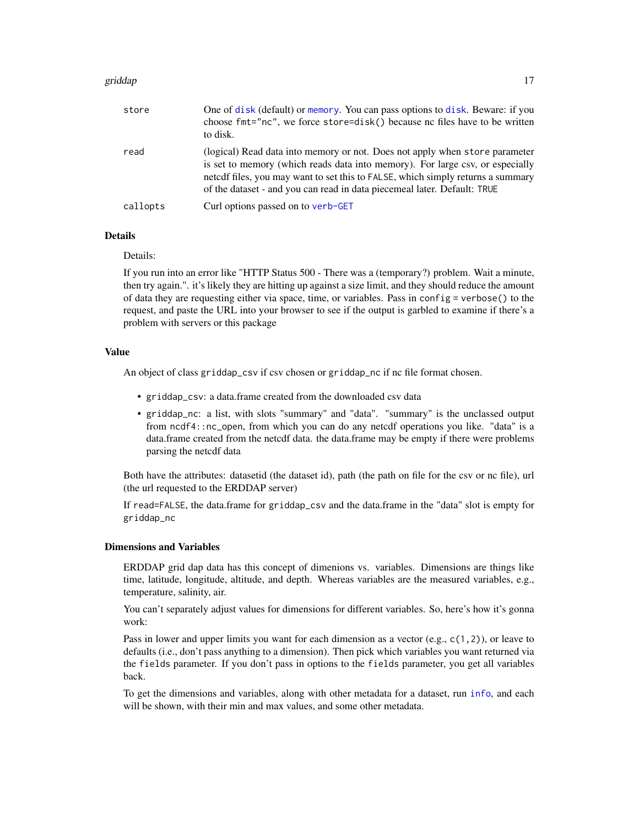#### <span id="page-16-0"></span>griddap 17

| store    | One of disk (default) or memory. You can pass options to disk. Beware: if you<br>choose fmt="nc", we force store=disk() because nc files have to be written<br>to disk.                                                                                                                                                     |
|----------|-----------------------------------------------------------------------------------------------------------------------------------------------------------------------------------------------------------------------------------------------------------------------------------------------------------------------------|
| read     | (logical) Read data into memory or not. Does not apply when store parameter<br>is set to memory (which reads data into memory). For large csv, or especially<br>netcdf files, you may want to set this to FALSE, which simply returns a summary<br>of the dataset - and you can read in data piecemeal later. Default: TRUE |
| callopts | Curl options passed on to verb-GET                                                                                                                                                                                                                                                                                          |

#### Details

Details:

If you run into an error like "HTTP Status 500 - There was a (temporary?) problem. Wait a minute, then try again.". it's likely they are hitting up against a size limit, and they should reduce the amount of data they are requesting either via space, time, or variables. Pass in config = verbose() to the request, and paste the URL into your browser to see if the output is garbled to examine if there's a problem with servers or this package

#### Value

An object of class griddap\_csv if csv chosen or griddap\_nc if nc file format chosen.

- griddap\_csv: a data.frame created from the downloaded csv data
- griddap\_nc: a list, with slots "summary" and "data". "summary" is the unclassed output from ncdf4::nc\_open, from which you can do any netcdf operations you like. "data" is a data.frame created from the netcdf data. the data.frame may be empty if there were problems parsing the netcdf data

Both have the attributes: datasetid (the dataset id), path (the path on file for the csv or nc file), url (the url requested to the ERDDAP server)

If read=FALSE, the data.frame for griddap\_csv and the data.frame in the "data" slot is empty for griddap\_nc

#### Dimensions and Variables

ERDDAP grid dap data has this concept of dimenions vs. variables. Dimensions are things like time, latitude, longitude, altitude, and depth. Whereas variables are the measured variables, e.g., temperature, salinity, air.

You can't separately adjust values for dimensions for different variables. So, here's how it's gonna work:

Pass in lower and upper limits you want for each dimension as a vector (e.g.,  $c(1,2)$ ), or leave to defaults (i.e., don't pass anything to a dimension). Then pick which variables you want returned via the fields parameter. If you don't pass in options to the fields parameter, you get all variables back.

To get the dimensions and variables, along with other metadata for a dataset, run [info](#page-19-1), and each will be shown, with their min and max values, and some other metadata.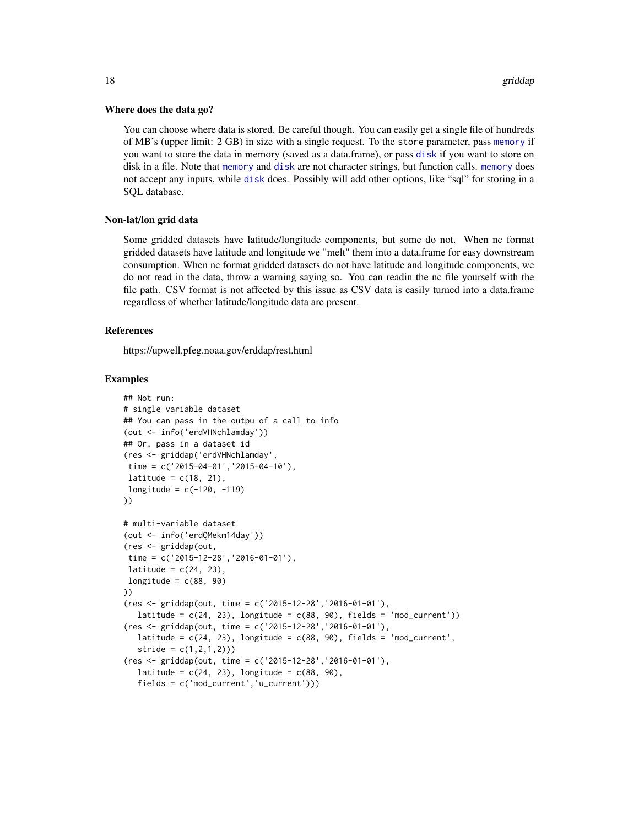#### <span id="page-17-0"></span>Where does the data go?

You can choose where data is stored. Be careful though. You can easily get a single file of hundreds of MB's (upper limit: 2 GB) in size with a single request. To the store parameter, pass [memory](#page-9-4) if you want to store the data in memory (saved as a data.frame), or pass [disk](#page-9-3) if you want to store on disk in a file. Note that [memory](#page-9-4) and [disk](#page-9-3) are not character strings, but function calls. [memory](#page-9-4) does not accept any inputs, while [disk](#page-9-3) does. Possibly will add other options, like "sql" for storing in a SQL database.

#### Non-lat/lon grid data

Some gridded datasets have latitude/longitude components, but some do not. When nc format gridded datasets have latitude and longitude we "melt" them into a data.frame for easy downstream consumption. When nc format gridded datasets do not have latitude and longitude components, we do not read in the data, throw a warning saying so. You can readin the nc file yourself with the file path. CSV format is not affected by this issue as CSV data is easily turned into a data.frame regardless of whether latitude/longitude data are present.

#### References

https://upwell.pfeg.noaa.gov/erddap/rest.html

#### Examples

```
## Not run:
# single variable dataset
## You can pass in the outpu of a call to info
(out <- info('erdVHNchlamday'))
## Or, pass in a dataset id
(res <- griddap('erdVHNchlamday',
time = c('2015-04-01','2015-04-10'),
latitude = c(18, 21),
longitude = c(-120, -119)))
# multi-variable dataset
(out <- info('erdQMekm14day'))
(res <- griddap(out,
time = c('2015-12-28','2016-01-01'),
latitude = c(24, 23),
longitude = c(88, 90)))
(res <- griddap(out, time = c('2015-12-28','2016-01-01'),
  latitude = c(24, 23), longitude = c(88, 90), fields = 'mod_current'))
(res <- griddap(out, time = c('2015-12-28','2016-01-01'),
  latitude = c(24, 23), longitude = c(88, 90), fields = 'mod_current',
   stride = c(1, 2, 1, 2))(res <- griddap(out, time = c('2015-12-28','2016-01-01'),
  latitude = c(24, 23), longitude = c(88, 90),
   fields = c('mod_current','u_current')))
```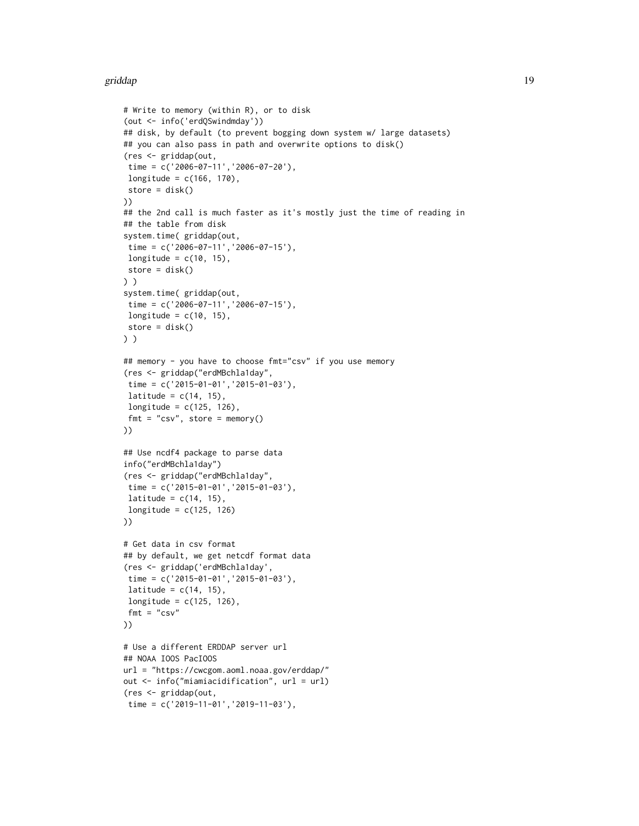#### griddap 19

```
# Write to memory (within R), or to disk
(out <- info('erdQSwindmday'))
## disk, by default (to prevent bogging down system w/ large datasets)
## you can also pass in path and overwrite options to disk()
(res <- griddap(out,
time = c('2006-07-11','2006-07-20'),
longitude = c(166, 170),
store = disk()
))
## the 2nd call is much faster as it's mostly just the time of reading in
## the table from disk
system.time( griddap(out,
 time = c('2006-07-11','2006-07-15'),
 longitude = c(10, 15),
store = disk()
) )
system.time( griddap(out,
time = c('2006-07-11','2006-07-15'),
 longitude = c(10, 15),
store = disk()
) )
## memory - you have to choose fmt="csv" if you use memory
(res <- griddap("erdMBchla1day",
 time = c('2015-01-01','2015-01-03'),
 latitude = c(14, 15),
 longitude = c(125, 126),
 fmt = "csv", store = memory()))
## Use ncdf4 package to parse data
info("erdMBchla1day")
(res <- griddap("erdMBchla1day",
time = c('2015-01-01','2015-01-03'),
latitude = c(14, 15),
longitude = c(125, 126)))
# Get data in csv format
## by default, we get netcdf format data
(res <- griddap('erdMBchla1day',
time = c('2015-01-01','2015-01-03'),
latitude = c(14, 15),
longitude = c(125, 126),
fmt = "csv"))
# Use a different ERDDAP server url
## NOAA IOOS PacIOOS
url = "https://cwcgom.aoml.noaa.gov/erddap/"
out <- info("miamiacidification", url = url)
(res <- griddap(out,
 time = c('2019-11-01','2019-11-03'),
```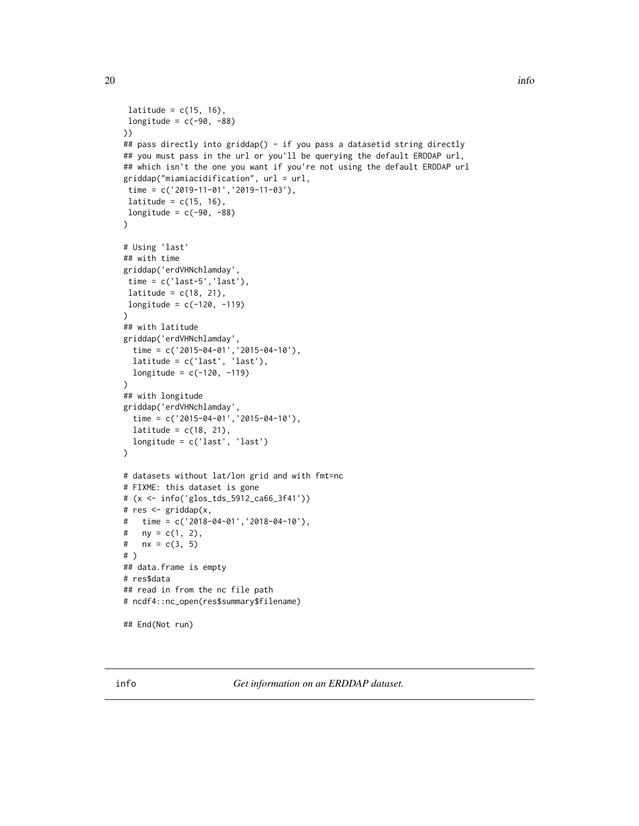```
latitude = c(15, 16),
 longitude = c(-90, -88)))
## pass directly into griddap() - if you pass a datasetid string directly
## you must pass in the url or you'll be querying the default ERDDAP url,
## which isn't the one you want if you're not using the default ERDDAP url
griddap("miamiacidification", url = url,
 time = c('2019-11-01','2019-11-03'),
latitude = c(15, 16),
longitude = c(-90, -88))
# Using 'last'
## with time
griddap('erdVHNchlamday',
time = c('last-5','last'),
 latitude = c(18, 21),
 longitude = c(-120, -119)\mathcal{L}## with latitude
griddap('erdVHNchlamday',
  time = c('2015-04-01','2015-04-10'),
  latitude = c('last', 'last'),
  longitude = c(-120, -119))
## with longitude
griddap('erdVHNchlamday',
  time = c('2015-04-01','2015-04-10'),
  latitude = c(18, 21),
  longitude = c('last', 'last')
)
# datasets without lat/lon grid and with fmt=nc
# FIXME: this dataset is gone
# (x <- info('glos_tds_5912_ca66_3f41'))
# res <- griddap(x,
# time = c('2018-04-01','2018-04-10'),
# ny = c(1, 2),
# nx = c(3, 5)# )
## data.frame is empty
# res$data
## read in from the nc file path
# ncdf4::nc_open(res$summary$filename)
## End(Not run)
```
<span id="page-19-1"></span>info *Get information on an ERDDAP dataset.*

<span id="page-19-0"></span>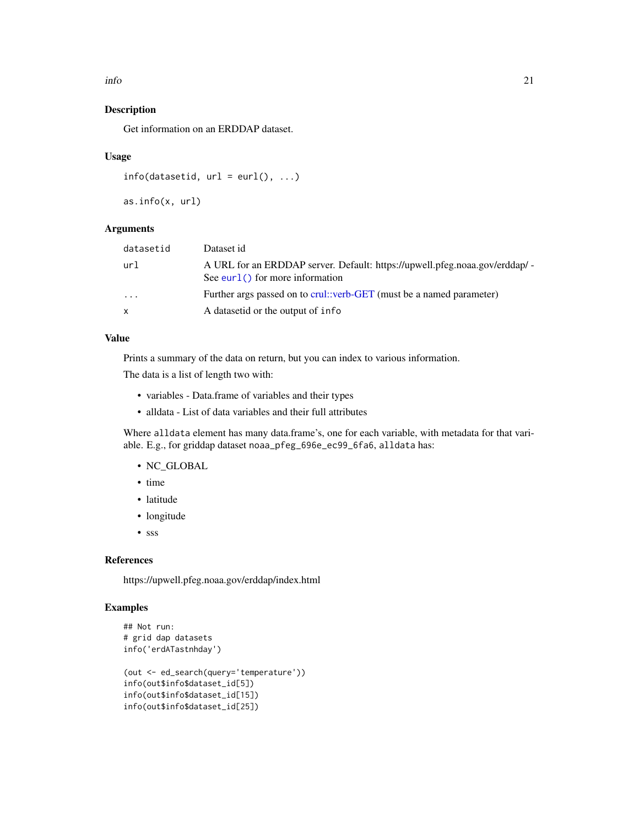<span id="page-20-0"></span>info 21

# Description

Get information on an ERDDAP dataset.

#### Usage

```
info(datasetid, url = curl(), ...)
```

```
as.info(x, url)
```
# Arguments

| datasetid | Dataset id                                                                                                        |
|-----------|-------------------------------------------------------------------------------------------------------------------|
| url       | A URL for an ERDDAP server. Default: https://upwell.pfeg.noaa.gov/erddap/ -<br>See eurl $()$ for more information |
| $\ddotsc$ | Further args passed on to crul::verb-GET (must be a named parameter)                                              |
| x         | A datasetid or the output of info.                                                                                |

# Value

Prints a summary of the data on return, but you can index to various information.

The data is a list of length two with:

- variables Data.frame of variables and their types
- alldata List of data variables and their full attributes

Where alldata element has many data.frame's, one for each variable, with metadata for that variable. E.g., for griddap dataset noaa\_pfeg\_696e\_ec99\_6fa6, alldata has:

- NC\_GLOBAL
- time
- latitude
- longitude
- sss

#### References

https://upwell.pfeg.noaa.gov/erddap/index.html

# Examples

```
## Not run:
# grid dap datasets
info('erdATastnhday')
(out <- ed_search(query='temperature'))
info(out$info$dataset_id[5])
info(out$info$dataset_id[15])
info(out$info$dataset_id[25])
```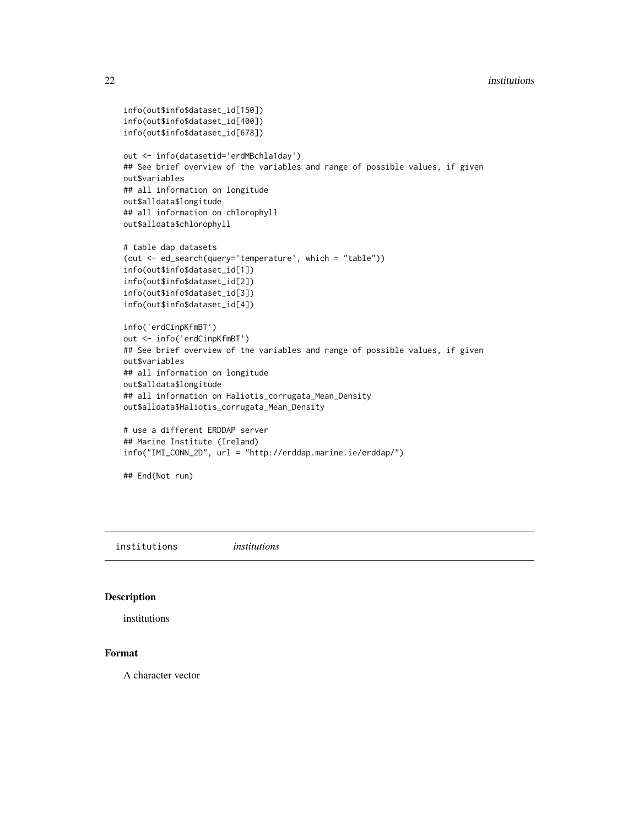```
info(out$info$dataset_id[150])
info(out$info$dataset_id[400])
info(out$info$dataset_id[678])
out <- info(datasetid='erdMBchla1day')
## See brief overview of the variables and range of possible values, if given
out$variables
## all information on longitude
out$alldata$longitude
## all information on chlorophyll
out$alldata$chlorophyll
# table dap datasets
(out <- ed_search(query='temperature', which = "table"))
info(out$info$dataset_id[1])
info(out$info$dataset_id[2])
info(out$info$dataset_id[3])
info(out$info$dataset_id[4])
info('erdCinpKfmBT')
out <- info('erdCinpKfmBT')
## See brief overview of the variables and range of possible values, if given
out$variables
## all information on longitude
out$alldata$longitude
## all information on Haliotis_corrugata_Mean_Density
out$alldata$Haliotis_corrugata_Mean_Density
# use a different ERDDAP server
## Marine Institute (Ireland)
info("IMI_CONN_2D", url = "http://erddap.marine.ie/erddap/")
## End(Not run)
```
institutions *institutions*

# Description

institutions

# Format

A character vector

<span id="page-21-0"></span>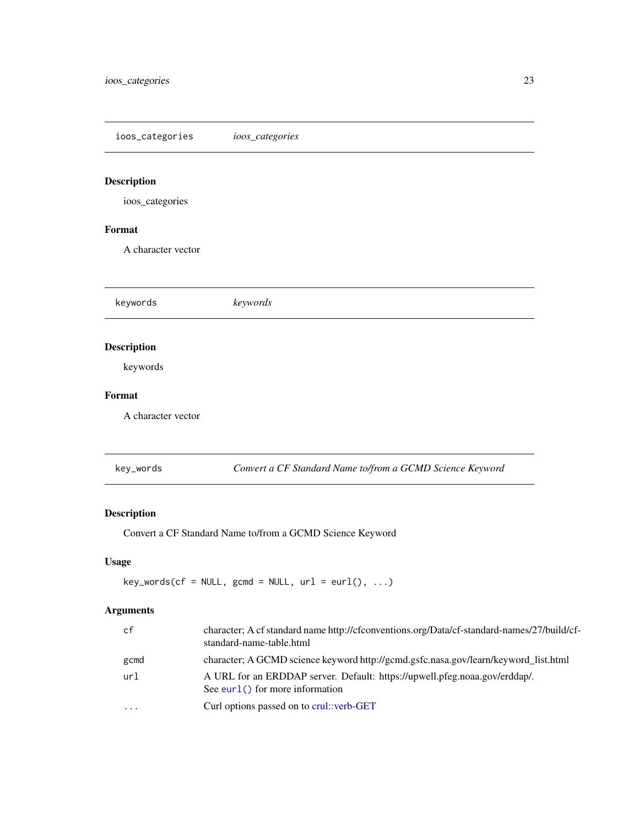<span id="page-22-0"></span>ioos\_categories *ioos\_categories*

# Description

ioos\_categories

# Format

A character vector

keywords *keywords* Description keywords Format A character vector

key\_words *Convert a CF Standard Name to/from a GCMD Science Keyword*

# Description

Convert a CF Standard Name to/from a GCMD Science Keyword

# Usage

 $key_words(cf = NULL, gcmd = NULL, url = curl(), ...)$ 

# Arguments

| cf      | character; A cf standard name http://cfconventions.org/Data/cf-standard-names/27/build/cf-<br>standard-name-table.html |
|---------|------------------------------------------------------------------------------------------------------------------------|
| gcmd    | character; A GCMD science keyword http://gcmd.gsfc.nasa.gov/learn/keyword_list.html                                    |
| url     | A URL for an ERDDAP server. Default: https://upwell.pfeg.noaa.gov/erddap/.<br>See eurl $()$ for more information       |
| $\cdot$ | Curl options passed on to crul::verb-GET                                                                               |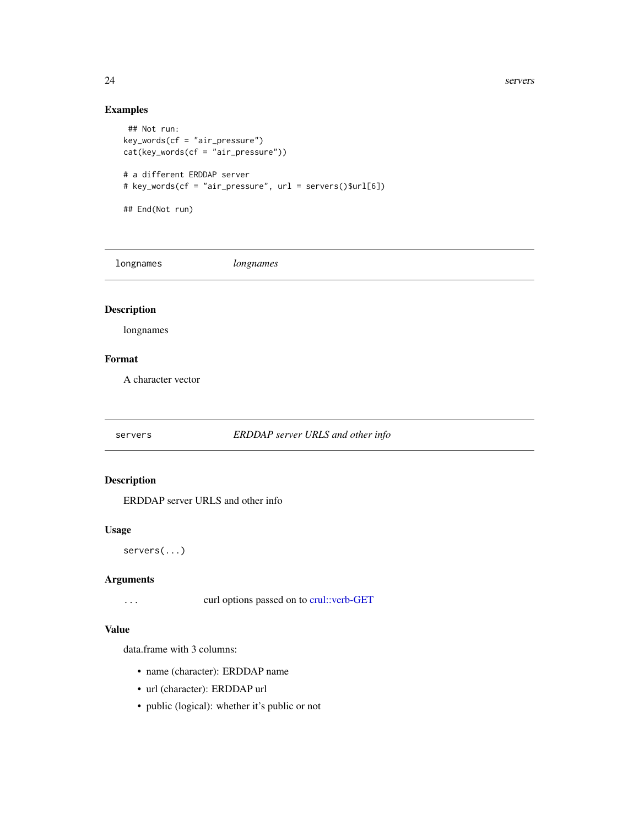24 servers and the servers of the servers of the servers of the servers of the servers of the servers of the servers of the servers of the servers of the servers of the servers of the servers of the servers of the servers

# Examples

```
## Not run:
key_words(cf = "air_pressure")cat(key_words(cf = "air_pressure"))
# a different ERDDAP server
# key_words(cf = "air_pressure", url = servers()$url[6])
## End(Not run)
```
longnames *longnames*

# Description

longnames

#### Format

A character vector

servers *ERDDAP server URLS and other info*

# Description

ERDDAP server URLS and other info

#### Usage

servers(...)

#### Arguments

... curl options passed on to [crul::verb-GET](#page-0-0)

#### Value

data.frame with 3 columns:

- name (character): ERDDAP name
- url (character): ERDDAP url
- public (logical): whether it's public or not

<span id="page-23-0"></span>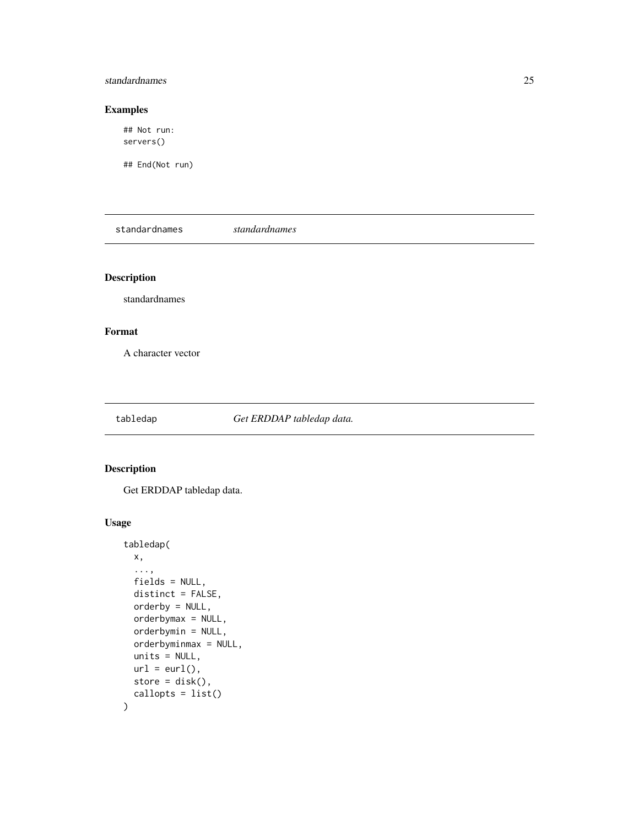#### <span id="page-24-0"></span>standardnames 25

# Examples

## Not run: servers()

## End(Not run)

standardnames *standardnames*

# Description

standardnames

#### Format

A character vector

<span id="page-24-1"></span>tabledap *Get ERDDAP tabledap data.*

# Description

Get ERDDAP tabledap data.

# Usage

```
tabledap(
 x,
  ...,
 fields = NULL,
 distinct = FALSE,
 orderby = NULL,
 orderbymax = NULL,
 orderbymin = NULL,
 orderbyminmax = NULL,
 units = NULL,
 url = curl(),store = disk(),
  callopts = list()
\mathcal{L}
```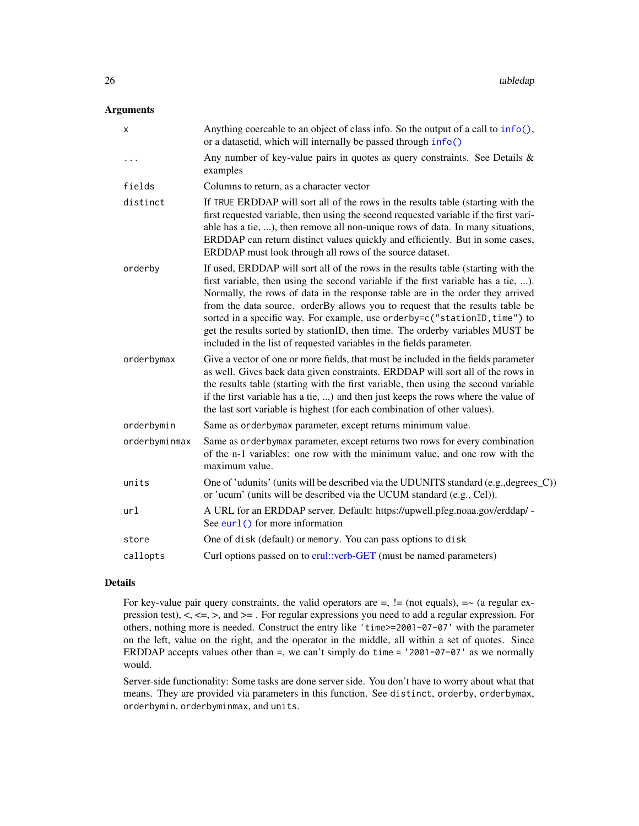# <span id="page-25-0"></span>Arguments

| Anything coercable to an object of class info. So the output of a call to info(),<br>or a datasetid, which will internally be passed through info()                                                                                                                                                                                                                                                                                                                                                                                                                               |
|-----------------------------------------------------------------------------------------------------------------------------------------------------------------------------------------------------------------------------------------------------------------------------------------------------------------------------------------------------------------------------------------------------------------------------------------------------------------------------------------------------------------------------------------------------------------------------------|
| Any number of key-value pairs in quotes as query constraints. See Details $\&$<br>examples                                                                                                                                                                                                                                                                                                                                                                                                                                                                                        |
| Columns to return, as a character vector                                                                                                                                                                                                                                                                                                                                                                                                                                                                                                                                          |
| If TRUE ERDDAP will sort all of the rows in the results table (starting with the<br>first requested variable, then using the second requested variable if the first vari-<br>able has a tie, ), then remove all non-unique rows of data. In many situations,<br>ERDDAP can return distinct values quickly and efficiently. But in some cases,<br>ERDDAP must look through all rows of the source dataset.                                                                                                                                                                         |
| If used, ERDDAP will sort all of the rows in the results table (starting with the<br>first variable, then using the second variable if the first variable has a tie, ).<br>Normally, the rows of data in the response table are in the order they arrived<br>from the data source. orderBy allows you to request that the results table be<br>sorted in a specific way. For example, use orderby=c("stationID, time") to<br>get the results sorted by stationID, then time. The orderby variables MUST be<br>included in the list of requested variables in the fields parameter. |
| Give a vector of one or more fields, that must be included in the fields parameter<br>as well. Gives back data given constraints. ERDDAP will sort all of the rows in<br>the results table (starting with the first variable, then using the second variable<br>if the first variable has a tie, ) and then just keeps the rows where the value of<br>the last sort variable is highest (for each combination of other values).                                                                                                                                                   |
| Same as orderbymax parameter, except returns minimum value.                                                                                                                                                                                                                                                                                                                                                                                                                                                                                                                       |
| Same as orderbymax parameter, except returns two rows for every combination<br>of the n-1 variables: one row with the minimum value, and one row with the<br>maximum value.                                                                                                                                                                                                                                                                                                                                                                                                       |
| One of 'udunits' (units will be described via the UDUNITS standard (e.g., degrees_C))<br>or 'ucum' (units will be described via the UCUM standard (e.g., Cel)).                                                                                                                                                                                                                                                                                                                                                                                                                   |
| A URL for an ERDDAP server. Default: https://upwell.pfeg.noaa.gov/erddap/ -<br>See eurl() for more information                                                                                                                                                                                                                                                                                                                                                                                                                                                                    |
| One of disk (default) or memory. You can pass options to disk                                                                                                                                                                                                                                                                                                                                                                                                                                                                                                                     |
| Curl options passed on to crul::verb-GET (must be named parameters)                                                                                                                                                                                                                                                                                                                                                                                                                                                                                                               |
|                                                                                                                                                                                                                                                                                                                                                                                                                                                                                                                                                                                   |

#### Details

For key-value pair query constraints, the valid operators are  $=$ ,  $!=$  (not equals),  $=$   $\sim$  (a regular expression test),  $\lt$ ,  $\lt$ ,  $\gt$ , and  $\gt$  = . For regular expressions you need to add a regular expression. For others, nothing more is needed. Construct the entry like 'time>=2001-07-07' with the parameter on the left, value on the right, and the operator in the middle, all within a set of quotes. Since ERDDAP accepts values other than  $=$ , we can't simply do time  $=$  '2001-07-07' as we normally would.

Server-side functionality: Some tasks are done server side. You don't have to worry about what that means. They are provided via parameters in this function. See distinct, orderby, orderbymax, orderbymin, orderbyminmax, and units.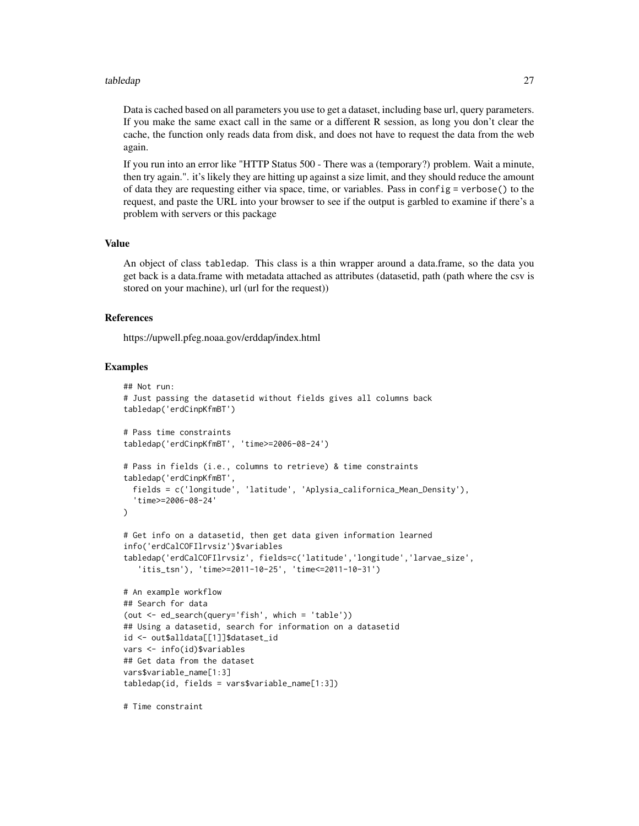#### tabledap 27

Data is cached based on all parameters you use to get a dataset, including base url, query parameters. If you make the same exact call in the same or a different R session, as long you don't clear the cache, the function only reads data from disk, and does not have to request the data from the web again.

If you run into an error like "HTTP Status 500 - There was a (temporary?) problem. Wait a minute, then try again.". it's likely they are hitting up against a size limit, and they should reduce the amount of data they are requesting either via space, time, or variables. Pass in config = verbose() to the request, and paste the URL into your browser to see if the output is garbled to examine if there's a problem with servers or this package

#### Value

An object of class tabledap. This class is a thin wrapper around a data.frame, so the data you get back is a data.frame with metadata attached as attributes (datasetid, path (path where the csv is stored on your machine), url (url for the request))

#### References

https://upwell.pfeg.noaa.gov/erddap/index.html

#### Examples

```
## Not run:
# Just passing the datasetid without fields gives all columns back
tabledap('erdCinpKfmBT')
# Pass time constraints
tabledap('erdCinpKfmBT', 'time>=2006-08-24')
# Pass in fields (i.e., columns to retrieve) & time constraints
tabledap('erdCinpKfmBT',
 fields = c('longitude', 'latitude', 'Aplysia_californica_Mean_Density'),
  'time>=2006-08-24'
)
# Get info on a datasetid, then get data given information learned
info('erdCalCOFIlrvsiz')$variables
tabledap('erdCalCOFIlrvsiz', fields=c('latitude','longitude','larvae_size',
   'itis_tsn'), 'time>=2011-10-25', 'time<=2011-10-31')
# An example workflow
## Search for data
(out <- ed_search(query='fish', which = 'table'))
## Using a datasetid, search for information on a datasetid
id <- out$alldata[[1]]$dataset_id
vars <- info(id)$variables
## Get data from the dataset
vars$variable_name[1:3]
tabledap(id, fields = vars$variable_name[1:3])
```
# Time constraint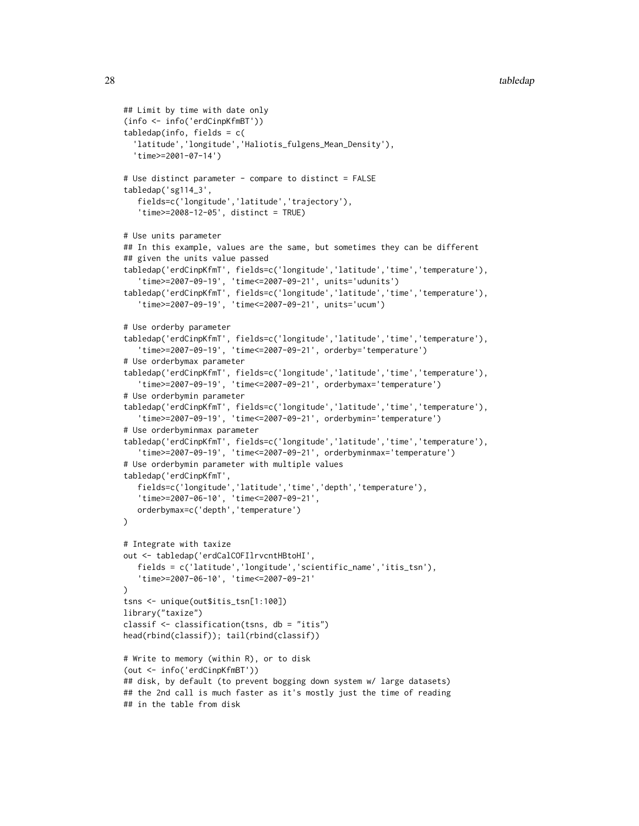```
## Limit by time with date only
(info <- info('erdCinpKfmBT'))
tabledap(info, fields = c(
  'latitude','longitude','Haliotis_fulgens_Mean_Density'),
  'time>=2001-07-14')
# Use distinct parameter - compare to distinct = FALSE
tabledap('sg114_3',
   fields=c('longitude','latitude','trajectory'),
   'time>=2008-12-05', distinct = TRUE)
# Use units parameter
## In this example, values are the same, but sometimes they can be different
## given the units value passed
tabledap('erdCinpKfmT', fields=c('longitude','latitude','time','temperature'),
   'time>=2007-09-19', 'time<=2007-09-21', units='udunits')
tabledap('erdCinpKfmT', fields=c('longitude','latitude','time','temperature'),
   'time>=2007-09-19', 'time<=2007-09-21', units='ucum')
# Use orderby parameter
tabledap('erdCinpKfmT', fields=c('longitude','latitude','time','temperature'),
   'time>=2007-09-19', 'time<=2007-09-21', orderby='temperature')
# Use orderbymax parameter
tabledap('erdCinpKfmT', fields=c('longitude','latitude','time','temperature'),
   'time>=2007-09-19', 'time<=2007-09-21', orderbymax='temperature')
# Use orderbymin parameter
tabledap('erdCinpKfmT', fields=c('longitude','latitude','time','temperature'),
   'time>=2007-09-19', 'time<=2007-09-21', orderbymin='temperature')
# Use orderbyminmax parameter
tabledap('erdCinpKfmT', fields=c('longitude','latitude','time','temperature'),
   'time>=2007-09-19', 'time<=2007-09-21', orderbyminmax='temperature')
# Use orderbymin parameter with multiple values
tabledap('erdCinpKfmT',
   fields=c('longitude','latitude','time','depth','temperature'),
   'time>=2007-06-10', 'time<=2007-09-21',
  orderbymax=c('depth','temperature')
\lambda# Integrate with taxize
out <- tabledap('erdCalCOFIlrvcntHBtoHI',
   fields = c('latitude','longitude','scientific_name','itis_tsn'),
   'time>=2007-06-10', 'time<=2007-09-21'
)
tsns <- unique(out$itis_tsn[1:100])
library("taxize")
classif <- classification(tsns, db = "itis")
head(rbind(classif)); tail(rbind(classif))
# Write to memory (within R), or to disk
(out <- info('erdCinpKfmBT'))
## disk, by default (to prevent bogging down system w/ large datasets)
## the 2nd call is much faster as it's mostly just the time of reading
## in the table from disk
```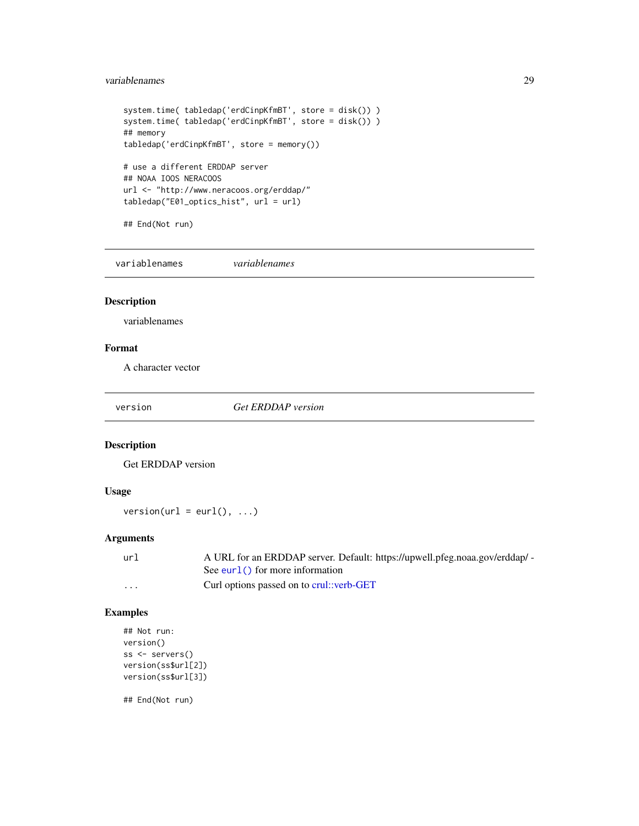#### <span id="page-28-0"></span>variablenames 29

```
system.time( tabledap('erdCinpKfmBT', store = disk()) )
system.time( tabledap('erdCinpKfmBT', store = disk()) )
## memory
tabledap('erdCinpKfmBT', store = memory())
# use a different ERDDAP server
## NOAA IOOS NERACOOS
url <- "http://www.neracoos.org/erddap/"
tabledap("E01_optics_hist", url = url)
## End(Not run)
```
variablenames *variablenames*

# Description

variablenames

#### Format

A character vector

version *Get ERDDAP version*

#### Description

Get ERDDAP version

# Usage

 $version(url = curl(), ...)$ 

# Arguments

| url     | A URL for an ERDDAP server. Default: https://upwell.pfeg.noaa.gov/erddap/ - |
|---------|-----------------------------------------------------------------------------|
|         | See eurl() for more information                                             |
| $\cdot$ | Curl options passed on to crul::verb-GET                                    |

# Examples

```
## Not run:
version()
ss <- servers()
version(ss$url[2])
version(ss$url[3])
```
## End(Not run)